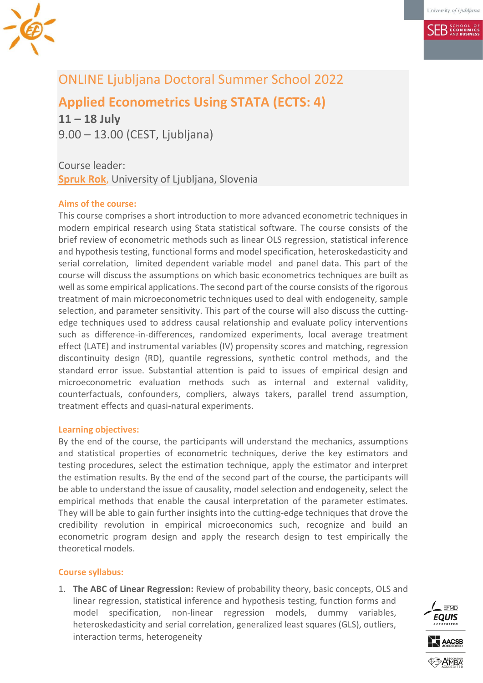

**SER ECONOMICS** 

# ONLINE Ljubljana Doctoral Summer School 2022

# **Applied Econometrics Using STATA (ECTS: 4)**

**11 – 18 July** 9.00 – 13.00 (CEST, Ljubljana)

Course leader: **[Spruk Rok](mailto:rok.spruk@ef.uni-lj.si)**, University of Ljubljana, Slovenia

# **Aims of the course:**

This course comprises a short introduction to more advanced econometric techniques in modern empirical research using Stata statistical software. The course consists of the brief review of econometric methods such as linear OLS regression, statistical inference and hypothesis testing, functional forms and model specification, heteroskedasticity and serial correlation, limited dependent variable model and panel data. This part of the course will discuss the assumptions on which basic econometrics techniques are built as well as some empirical applications. The second part of the course consists of the rigorous treatment of main microeconometric techniques used to deal with endogeneity, sample selection, and parameter sensitivity. This part of the course will also discuss the cuttingedge techniques used to address causal relationship and evaluate policy interventions such as difference-in-differences, randomized experiments, local average treatment effect (LATE) and instrumental variables (IV) propensity scores and matching, regression discontinuity design (RD), quantile regressions, synthetic control methods, and the standard error issue. Substantial attention is paid to issues of empirical design and microeconometric evaluation methods such as internal and external validity, counterfactuals, confounders, compliers, always takers, parallel trend assumption, treatment effects and quasi-natural experiments.

#### **Learning objectives:**

By the end of the course, the participants will understand the mechanics, assumptions and statistical properties of econometric techniques, derive the key estimators and testing procedures, select the estimation technique, apply the estimator and interpret the estimation results. By the end of the second part of the course, the participants will be able to understand the issue of causality, model selection and endogeneity, select the empirical methods that enable the causal interpretation of the parameter estimates. They will be able to gain further insights into the cutting-edge techniques that drove the credibility revolution in empirical microeconomics such, recognize and build an econometric program design and apply the research design to test empirically the theoretical models.

## **Course syllabus:**

1. **The ABC of Linear Regression:** Review of probability theory, basic concepts, OLS and linear regression, statistical inference and hypothesis testing, function forms and model specification, non-linear regression models, dummy variables, heteroskedasticity and serial correlation, generalized least squares (GLS), outliers, interaction terms, heterogeneity

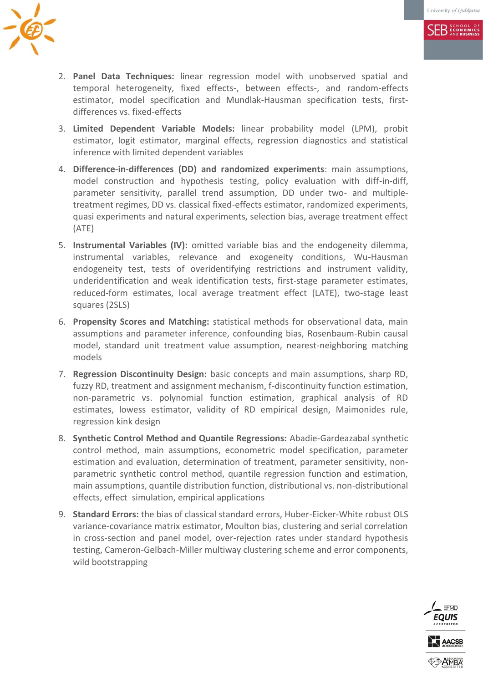**SER** ECONOMICS



- 2. **Panel Data Techniques:** linear regression model with unobserved spatial and temporal heterogeneity, fixed effects-, between effects-, and random-effects estimator, model specification and Mundlak-Hausman specification tests, firstdifferences vs. fixed-effects
- 3. **Limited Dependent Variable Models:** linear probability model (LPM), probit estimator, logit estimator, marginal effects, regression diagnostics and statistical inference with limited dependent variables
- 4. **Difference-in-differences (DD) and randomized experiments**: main assumptions, model construction and hypothesis testing, policy evaluation with diff-in-diff, parameter sensitivity, parallel trend assumption, DD under two- and multipletreatment regimes, DD vs. classical fixed-effects estimator, randomized experiments, quasi experiments and natural experiments, selection bias, average treatment effect (ATE)
- 5. **Instrumental Variables (IV):** omitted variable bias and the endogeneity dilemma, instrumental variables, relevance and exogeneity conditions, Wu-Hausman endogeneity test, tests of overidentifying restrictions and instrument validity, underidentification and weak identification tests, first-stage parameter estimates, reduced-form estimates, local average treatment effect (LATE), two-stage least squares (2SLS)
- 6. **Propensity Scores and Matching:** statistical methods for observational data, main assumptions and parameter inference, confounding bias, Rosenbaum-Rubin causal model, standard unit treatment value assumption, nearest-neighboring matching models
- 7. **Regression Discontinuity Design:** basic concepts and main assumptions, sharp RD, fuzzy RD, treatment and assignment mechanism, f-discontinuity function estimation, non-parametric vs. polynomial function estimation, graphical analysis of RD estimates, lowess estimator, validity of RD empirical design, Maimonides rule, regression kink design
- 8. **Synthetic Control Method and Quantile Regressions:** Abadie-Gardeazabal synthetic control method, main assumptions, econometric model specification, parameter estimation and evaluation, determination of treatment, parameter sensitivity, nonparametric synthetic control method, quantile regression function and estimation, main assumptions, quantile distribution function, distributional vs. non-distributional effects, effect simulation, empirical applications
- 9. **Standard Errors:** the bias of classical standard errors, Huber-Eicker-White robust OLS variance-covariance matrix estimator, Moulton bias, clustering and serial correlation in cross-section and panel model, over-rejection rates under standard hypothesis testing, Cameron-Gelbach-Miller multiway clustering scheme and error components, wild bootstrapping